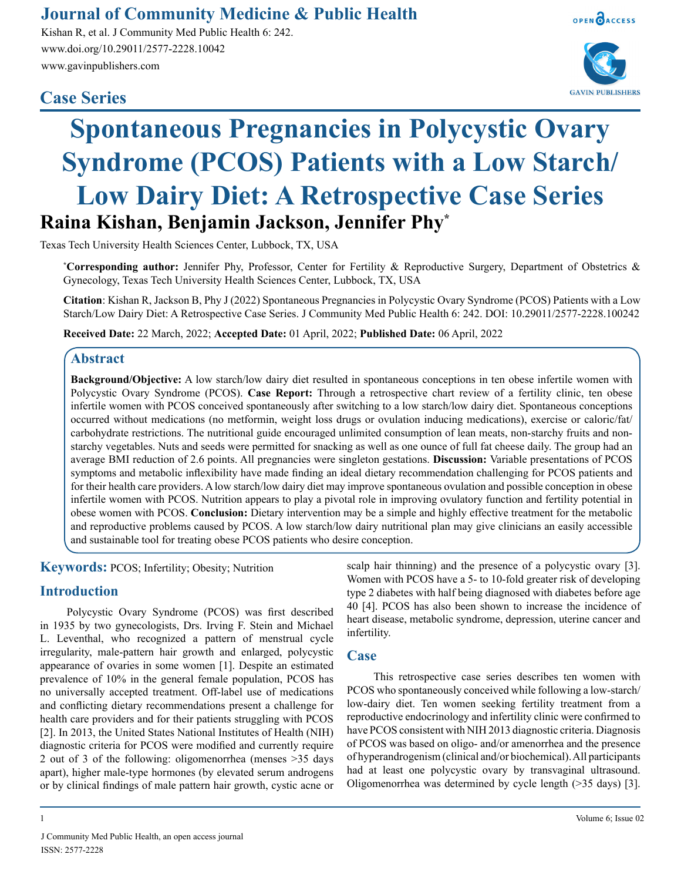## **Journal of Community Medicine & Public Health**

Kishan R, et al. J Community Med Public Health 6: 242. www.doi.org/10.29011/2577-2228.10042 www.gavinpublishers.com

### **Case Series**



OPEN OACCESS



# **Spontaneous Pregnancies in Polycystic Ovary Syndrome (PCOS) Patients with a Low Starch/ Low Dairy Diet: A Retrospective Case Series Raina Kishan, Benjamin Jackson, Jennifer Phy\***

Texas Tech University Health Sciences Center, Lubbock, TX, USA

**\* Corresponding author:** Jennifer Phy, Professor, Center for Fertility & Reproductive Surgery, Department of Obstetrics & Gynecology, Texas Tech University Health Sciences Center, Lubbock, TX, USA

**Citation**: Kishan R, Jackson B, Phy J (2022) Spontaneous Pregnancies in Polycystic Ovary Syndrome (PCOS) Patients with a Low Starch/Low Dairy Diet: A Retrospective Case Series. J Community Med Public Health 6: 242. DOI: 10.29011/2577-2228.100242

**Received Date:** 22 March, 2022; **Accepted Date:** 01 April, 2022; **Published Date:** 06 April, 2022

#### **Abstract**

**Background/Objective:** A low starch/low dairy diet resulted in spontaneous conceptions in ten obese infertile women with Polycystic Ovary Syndrome (PCOS). **Case Report:** Through a retrospective chart review of a fertility clinic, ten obese infertile women with PCOS conceived spontaneously after switching to a low starch/low dairy diet. Spontaneous conceptions occurred without medications (no metformin, weight loss drugs or ovulation inducing medications), exercise or caloric/fat/ carbohydrate restrictions. The nutritional guide encouraged unlimited consumption of lean meats, non-starchy fruits and nonstarchy vegetables. Nuts and seeds were permitted for snacking as well as one ounce of full fat cheese daily. The group had an average BMI reduction of 2.6 points. All pregnancies were singleton gestations. **Discussion:** Variable presentations of PCOS symptoms and metabolic inflexibility have made finding an ideal dietary recommendation challenging for PCOS patients and for their health care providers. A low starch/low dairy diet may improve spontaneous ovulation and possible conception in obese infertile women with PCOS. Nutrition appears to play a pivotal role in improving ovulatory function and fertility potential in obese women with PCOS. **Conclusion:** Dietary intervention may be a simple and highly effective treatment for the metabolic and reproductive problems caused by PCOS. A low starch/low dairy nutritional plan may give clinicians an easily accessible and sustainable tool for treating obese PCOS patients who desire conception.

**Keywords:** PCOS; Infertility; Obesity; Nutrition

#### **Introduction**

Polycystic Ovary Syndrome (PCOS) was first described in 1935 by two gynecologists, Drs. Irving F. Stein and Michael L. Leventhal, who recognized a pattern of menstrual cycle irregularity, male-pattern hair growth and enlarged, polycystic appearance of ovaries in some women [1]. Despite an estimated prevalence of 10% in the general female population, PCOS has no universally accepted treatment. Off-label use of medications and conflicting dietary recommendations present a challenge for health care providers and for their patients struggling with PCOS [2]. In 2013, the United States National Institutes of Health (NIH) diagnostic criteria for PCOS were modified and currently require 2 out of 3 of the following: oligomenorrhea (menses >35 days apart), higher male-type hormones (by elevated serum androgens or by clinical findings of male pattern hair growth, cystic acne or

scalp hair thinning) and the presence of a polycystic ovary [3]. Women with PCOS have a 5- to 10-fold greater risk of developing type 2 diabetes with half being diagnosed with diabetes before age 40 [4]. PCOS has also been shown to increase the incidence of heart disease, metabolic syndrome, depression, uterine cancer and infertility.

#### **Case**

This retrospective case series describes ten women with PCOS who spontaneously conceived while following a low-starch/ low-dairy diet. Ten women seeking fertility treatment from a reproductive endocrinology and infertility clinic were confirmed to have PCOS consistent with NIH 2013 diagnostic criteria. Diagnosis of PCOS was based on oligo- and/or amenorrhea and the presence of hyperandrogenism (clinical and/or biochemical). All participants had at least one polycystic ovary by transvaginal ultrasound. Oligomenorrhea was determined by cycle length (>35 days) [3].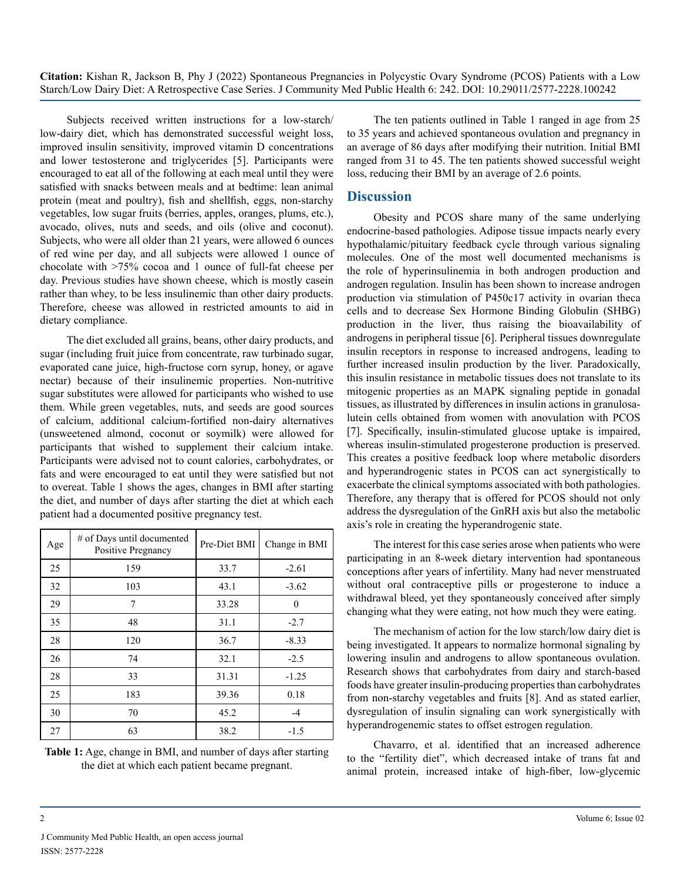**Citation:** Kishan R, Jackson B, Phy J (2022) Spontaneous Pregnancies in Polycystic Ovary Syndrome (PCOS) Patients with a Low Starch/Low Dairy Diet: A Retrospective Case Series. J Community Med Public Health 6: 242. DOI: 10.29011/2577-2228.100242

Subjects received written instructions for a low-starch/ low-dairy diet, which has demonstrated successful weight loss, improved insulin sensitivity, improved vitamin D concentrations and lower testosterone and triglycerides [5]. Participants were encouraged to eat all of the following at each meal until they were satisfied with snacks between meals and at bedtime: lean animal protein (meat and poultry), fish and shellfish, eggs, non-starchy vegetables, low sugar fruits (berries, apples, oranges, plums, etc.), avocado, olives, nuts and seeds, and oils (olive and coconut). Subjects, who were all older than 21 years, were allowed 6 ounces of red wine per day, and all subjects were allowed 1 ounce of chocolate with >75% cocoa and 1 ounce of full-fat cheese per day. Previous studies have shown cheese, which is mostly casein rather than whey, to be less insulinemic than other dairy products. Therefore, cheese was allowed in restricted amounts to aid in dietary compliance.

The diet excluded all grains, beans, other dairy products, and sugar (including fruit juice from concentrate, raw turbinado sugar, evaporated cane juice, high-fructose corn syrup, honey, or agave nectar) because of their insulinemic properties. Non-nutritive sugar substitutes were allowed for participants who wished to use them. While green vegetables, nuts, and seeds are good sources of calcium, additional calcium-fortified non-dairy alternatives (unsweetened almond, coconut or soymilk) were allowed for participants that wished to supplement their calcium intake. Participants were advised not to count calories, carbohydrates, or fats and were encouraged to eat until they were satisfied but not to overeat. Table 1 shows the ages, changes in BMI after starting the diet, and number of days after starting the diet at which each patient had a documented positive pregnancy test.

| Age | # of Days until documented<br>Positive Pregnancy | Pre-Diet BMI | Change in BMI |
|-----|--------------------------------------------------|--------------|---------------|
| 25  | 159                                              | 33.7         | $-2.61$       |
| 32  | 103                                              | 43.1         | $-3.62$       |
| 29  | 7                                                | 33.28        | $\Omega$      |
| 35  | 48                                               | 31.1         | $-2.7$        |
| 28  | 120                                              | 36.7         | $-8.33$       |
| 26  | 74                                               | 32.1         | $-2.5$        |
| 28  | 33                                               | 31.31        | $-1.25$       |
| 25  | 183                                              | 39.36        | 0.18          |
| 30  | 70                                               | 45.2         | $-4$          |
| 27  | 63                                               | 38.2         | $-1.5$        |

**Table 1:** Age, change in BMI, and number of days after starting the diet at which each patient became pregnant.

The ten patients outlined in Table 1 ranged in age from 25 to 35 years and achieved spontaneous ovulation and pregnancy in an average of 86 days after modifying their nutrition. Initial BMI ranged from 31 to 45. The ten patients showed successful weight loss, reducing their BMI by an average of 2.6 points.

#### **Discussion**

Obesity and PCOS share many of the same underlying endocrine-based pathologies. Adipose tissue impacts nearly every hypothalamic/pituitary feedback cycle through various signaling molecules. One of the most well documented mechanisms is the role of hyperinsulinemia in both androgen production and androgen regulation. Insulin has been shown to increase androgen production via stimulation of P450c17 activity in ovarian theca cells and to decrease Sex Hormone Binding Globulin (SHBG) production in the liver, thus raising the bioavailability of androgens in peripheral tissue [6]. Peripheral tissues downregulate insulin receptors in response to increased androgens, leading to further increased insulin production by the liver. Paradoxically, this insulin resistance in metabolic tissues does not translate to its mitogenic properties as an MAPK signaling peptide in gonadal tissues, as illustrated by differences in insulin actions in granulosalutein cells obtained from women with anovulation with PCOS [7]. Specifically, insulin-stimulated glucose uptake is impaired, whereas insulin-stimulated progesterone production is preserved. This creates a positive feedback loop where metabolic disorders and hyperandrogenic states in PCOS can act synergistically to exacerbate the clinical symptoms associated with both pathologies. Therefore, any therapy that is offered for PCOS should not only address the dysregulation of the GnRH axis but also the metabolic axis's role in creating the hyperandrogenic state.

The interest for this case series arose when patients who were participating in an 8-week dietary intervention had spontaneous conceptions after years of infertility. Many had never menstruated without oral contraceptive pills or progesterone to induce a withdrawal bleed, yet they spontaneously conceived after simply changing what they were eating, not how much they were eating.

The mechanism of action for the low starch/low dairy diet is being investigated. It appears to normalize hormonal signaling by lowering insulin and androgens to allow spontaneous ovulation. Research shows that carbohydrates from dairy and starch-based foods have greater insulin-producing properties than carbohydrates from non-starchy vegetables and fruits [8]. And as stated earlier, dysregulation of insulin signaling can work synergistically with hyperandrogenemic states to offset estrogen regulation.

Chavarro, et al. identified that an increased adherence to the "fertility diet", which decreased intake of trans fat and animal protein, increased intake of high-fiber, low-glycemic